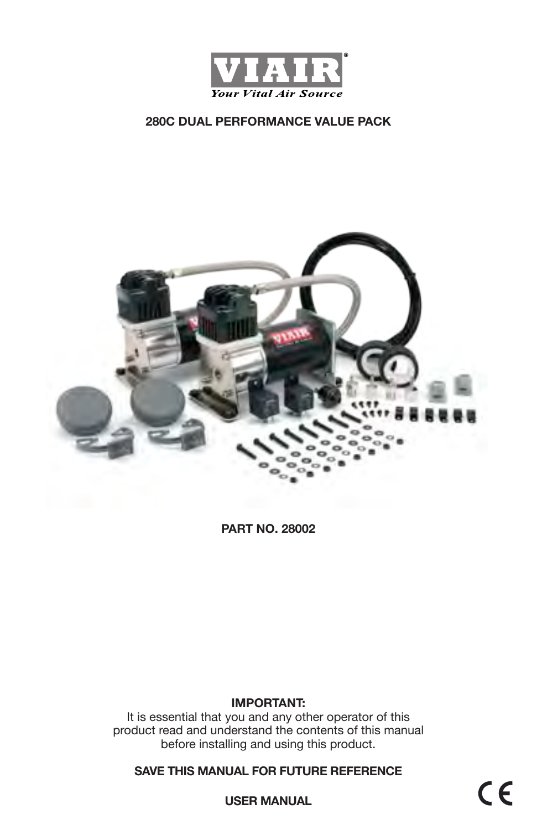



**PART NO. 28002**

#### **IMPORTANT:**

It is essential that you and any other operator of this product read and understand the contents of this manual before installing and using this product.

**SAVE THIS MANUAL FOR FUTURE REFERENCE**

 $C \in$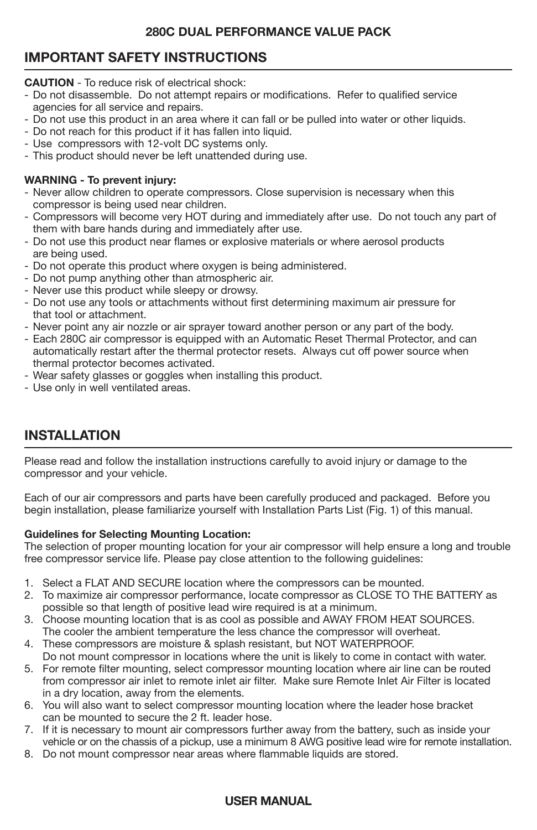# **IMPORTANT SAFETY INSTRUCTIONS**

**CAUTION** - To reduce risk of electrical shock:

- Do not disassemble. Do not attempt repairs or modifications. Refer to qualified service agencies for all service and repairs.
- Do not use this product in an area where it can fall or be pulled into water or other liquids.
- Do not reach for this product if it has fallen into liquid.
- Use compressors with 12-volt DC systems only.
- This product should never be left unattended during use.

#### **WARNING - To prevent injury:**

- Never allow children to operate compressors. Close supervision is necessary when this compressor is being used near children.
- Compressors will become very HOT during and immediately after use. Do not touch any part of them with bare hands during and immediately after use.
- Do not use this product near flames or explosive materials or where aerosol products are being used.
- Do not operate this product where oxygen is being administered.
- Do not pump anything other than atmospheric air.
- Never use this product while sleepy or drowsy.
- Do not use any tools or attachments without first determining maximum air pressure for that tool or attachment.
- Never point any air nozzle or air sprayer toward another person or any part of the body.
- Each 280C air compressor is equipped with an Automatic Reset Thermal Protector, and can automatically restart after the thermal protector resets. Always cut off power source when thermal protector becomes activated.
- Wear safety glasses or goggles when installing this product.
- Use only in well ventilated areas.

## **INSTALLATION**

Please read and follow the installation instructions carefully to avoid injury or damage to the compressor and your vehicle.

Each of our air compressors and parts have been carefully produced and packaged. Before you begin installation, please familiarize yourself with Installation Parts List (Fig. 1) of this manual.

#### **Guidelines for Selecting Mounting Location:**

The selection of proper mounting location for your air compressor will help ensure a long and trouble free compressor service life. Please pay close attention to the following guidelines:

- 1. Select a FLAT AND SECURE location where the compressors can be mounted.
- 2. To maximize air compressor performance, locate compressor as CLOSE TO THE BATTERY as possible so that length of positive lead wire required is at a minimum.
- 3. Choose mounting location that is as cool as possible and AWAY FROM HEAT SOURCES. The cooler the ambient temperature the less chance the compressor will overheat.
- 4. These compressors are moisture & splash resistant, but NOT WATERPROOF.
- Do not mount compressor in locations where the unit is likely to come in contact with water.
- 5. For remote filter mounting, select compressor mounting location where air line can be routed from compressor air inlet to remote inlet air filter. Make sure Remote Inlet Air Filter is located in a dry location, away from the elements.
- 6. You will also want to select compressor mounting location where the leader hose bracket can be mounted to secure the 2 ft. leader hose.
- 7. If it is necessary to mount air compressors further away from the battery, such as inside your vehicle or on the chassis of a pickup, use a minimum 8 AWG positive lead wire for remote installation.
- 8. Do not mount compressor near areas where flammable liquids are stored.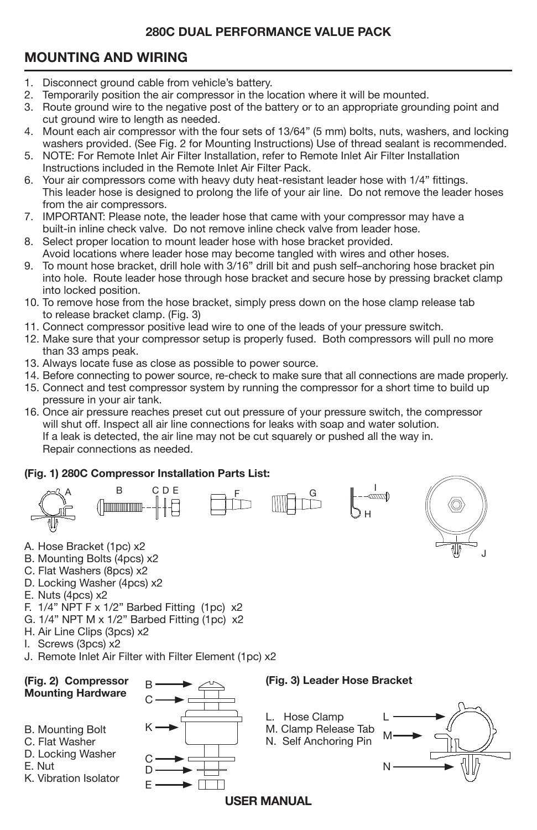# **MOUNTING AND WIRING**

- 1. Disconnect ground cable from vehicle's battery.
- 2. Temporarily position the air compressor in the location where it will be mounted.
- 3. Route ground wire to the negative post of the battery or to an appropriate grounding point and cut ground wire to length as needed.
- 4. Mount each air compressor with the four sets of 13/64" (5 mm) bolts, nuts, washers, and locking washers provided. (See Fig. 2 for Mounting Instructions) Use of thread sealant is recommended.
- 5. NOTE: For Remote Inlet Air Filter Installation, refer to Remote Inlet Air Filter Installation Instructions included in the Remote Inlet Air Filter Pack.
- 6. Your air compressors come with heavy duty heat-resistant leader hose with 1/4" fittings. This leader hose is designed to prolong the life of your air line. Do not remove the leader hoses from the air compressors.
- 7. IMPORTANT: Please note, the leader hose that came with your compressor may have a built-in inline check valve. Do not remove inline check valve from leader hose.
- 8. Select proper location to mount leader hose with hose bracket provided. Avoid locations where leader hose may become tangled with wires and other hoses.
- 9. To mount hose bracket, drill hole with 3/16" drill bit and push self-anchoring hose bracket pin into hole. Route leader hose through hose bracket and secure hose by pressing bracket clamp into locked position.
- 10. To remove hose from the hose bracket, simply press down on the hose clamp release tab to release bracket clamp. (Fig. 3)
- 11. Connect compressor positive lead wire to one of the leads of your pressure switch.
- 12. Make sure that your compressor setup is properly fused. Both compressors will pull no more than 33 amps peak.
- 13. Always locate fuse as close as possible to power source.
- 14. Before connecting to power source, re-check to make sure that all connections are made properly.
- 15. Connect and test compressor system by running the compressor for a short time to build up pressure in your air tank.
- 16. Once air pressure reaches preset cut out pressure of your pressure switch, the compressor will shut off. Inspect all air line connections for leaks with soap and water solution. If a leak is detected, the air line may not be cut squarely or pushed all the way in. Repair connections as needed.

## **(Fig. 1) 280C Compressor Installation Parts List:**





- A. Hose Bracket (1pc) x2
- B. Mounting Bolts (4pcs) x2
- C. Flat Washers (8pcs) x2
- D. Locking Washer (4pcs) x2
- E. Nuts (4pcs) x2
- F. 1/4" NPT F x 1/2" Barbed Fitting (1pc) x2
- G. 1/4" NPT M x 1/2" Barbed Fitting (1pc) x2
- H. Air Line Clips (3pcs) x2
- I. Screws (3pcs) x2
- J. Remote Inlet Air Filter with Filter Element (1pc) x2

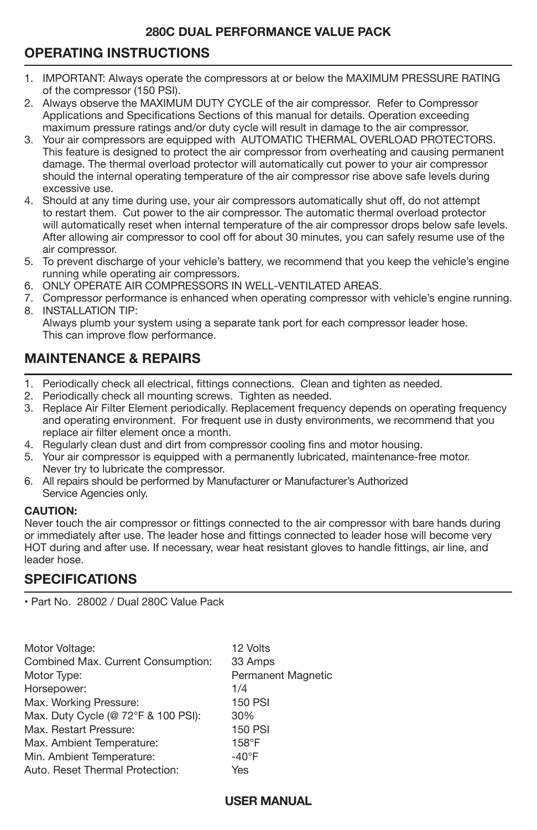# **OPERATING INSTRUCTIONS**

- i 1. IMPORTANT: Always operate the compressors at or below the MAXIMUM PRESSURE RATING of the compressor (150 PSI).
- 2. Always observe the MAXIMUM DUTY CYCLE of the air compressor. Refer to Compressor Applications and Specifications Sections of this manual for details. Operation exceeding maximum pressure ratings and/or duty cycle will result in damage to the air compressor.
- 3. Your air compressors are equipped with AUTOMATIC THERMAL OVERLOAD PROTECTORS. This feature is designed to protect the air compressor from overheating and causing permanent damage. The thermal overload protector will automatically cut power to your air compressor should the internal operating temperature of the air compressor rise above safe levels during excessive use.
- 4. Should at any time during use, your air compressors automatically shut off, do not attempt to restart them. Cut power to the air compressor. The automatic thermal overload protector will automatically reset when internal temperature of the air compressor drops below safe levels. After allowing air compressor to cool off for about 30 minutes, you can safely resume use of the air compressor.
- 5. To prevent discharge of your vehicle's battery, we recommend that you keep the vehicle's engine running while operating air compressors.
- 6. ONLY OPERATE AIR COMPRESSORS IN WELL-VENTILATED AREAS.
- 7. Compressor performance is enhanced when operating compressor with vehicle's engine running. 8. INSTALLATION TIP:
	- Always plumb your system using a separate tank port for each compressor leader hose. This can improve flow performance.

## **MAINTENANCE & REPAIRS**

- 1. Periodically check all electrical, fittings connections. Clean and tighten as needed.
- 2. Periodically check all mounting screws. Tighten as needed.
- 3. Replace Air Filter Element periodically. Replacement frequency depends on operating frequency and operating environment. For frequent use in dusty environments, we recommend that you replace air filter element once a month.
- 4. Regularly clean dust and dirt from compressor cooling fins and motor housing.
- 5. Your air compressor is equipped with a permanently lubricated, maintenance-free motor. Never try to lubricate the compressor.
- 6. All repairs should be performed by Manufacturer or Manufacturer's Authorized Service Agencies only.

#### **CAUTION:**

Never touch the air compressor or fittings connected to the air compressor with bare hands during or immediately after use. The leader hose and fittings connected to leader hose will become very HOT during and after use. If necessary, wear heat resistant gloves to handle fittings, air line, and leader hose.

## **SPECIFICATIONS**

• Part No. 28002 / Dual 280C Value Pack

| Motor Voltage:                      | 12 Volts           |
|-------------------------------------|--------------------|
| Combined Max. Current Consumption:  | 33 Amps            |
| Motor Type:                         | Permanent Magnetic |
| Horsepower:                         | 1/4                |
| Max. Working Pressure:              | <b>150 PSI</b>     |
| Max. Duty Cycle (@ 72°F & 100 PSI): | 30%                |
| Max. Restart Pressure:              | <b>150 PSI</b>     |
| Max. Ambient Temperature:           | $158^\circ F$      |
| Min. Ambient Temperature:           | $-40^{\circ}$ F    |
| Auto, Reset Thermal Protection:     | Yes                |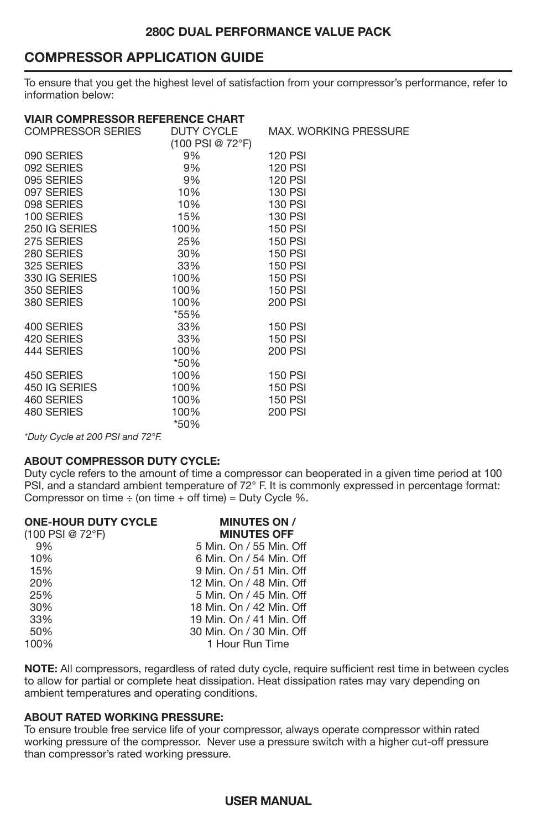## **COMPRESSOR APPLICATION GUIDE**

To ensure that you get the highest level of satisfaction from your compressor's performance, refer to information below:

| <b>VIAIR COMPRESSOR REFERENCE CHART</b> |                   |                              |
|-----------------------------------------|-------------------|------------------------------|
| COMPRESSOR SERIES                       | <b>DUTY CYCLE</b> | <b>MAX. WORKING PRESSURE</b> |
|                                         | (100 PSI @ 72°F)  |                              |
| 090 SERIES                              | 9%                | <b>120 PSI</b>               |
| 092 SERIES                              | 9%                | <b>120 PSI</b>               |
| 095 SERIES                              | 9%                | <b>120 PSI</b>               |
| 097 SERIES                              | 10%               | <b>130 PSI</b>               |
| 098 SERIES                              | 10%               | <b>130 PSI</b>               |
| 100 SERIES                              | 15%               | 130 PSI                      |
| 250 IG SERIES                           | 100%              | <b>150 PSI</b>               |
| 275 SERIES                              | 25%               | <b>150 PSI</b>               |
| 280 SERIES                              | 30%               | <b>150 PSI</b>               |
| 325 SERIES                              | 33%               | <b>150 PSI</b>               |
| 330 IG SERIES                           | 100%              | <b>150 PSI</b>               |
| 350 SERIES                              | 100%              | <b>150 PSI</b>               |
| 380 SERIES                              | 100%              | 200 PSI                      |
|                                         | *55%              |                              |
| 400 SERIES                              | 33%               | <b>150 PSI</b>               |
| 420 SERIES                              | 33%               | <b>150 PSI</b>               |
| 444 SERIES                              | 100%              | 200 PSI                      |
|                                         | *50%              |                              |
| 450 SERIES                              | 100%              | <b>150 PSI</b>               |
| 450 IG SERIES                           | 100%              | <b>150 PSI</b>               |
| 460 SERIES                              | 100%              | <b>150 PSI</b>               |
| 480 SERIES                              | 100%              | 200 PSI                      |
|                                         | *50%              |                              |

*\*Duty Cycle at 200 PSI and 72°F.*

#### **ABOUT COMPRESSOR DUTY CYCLE:**

Duty cycle refers to the amount of time a compressor can be
operated in a given time period at 100 PSI, and a standard ambient temperature of 72° F. It is commonly expressed in percentage format: Compressor on time  $\div$  (on time  $+$  off time) = Duty Cycle %.

| <b>ONE-HOUR DUTY CYCLE</b> | <b>MINUTES ON /</b>      |
|----------------------------|--------------------------|
| $(100$ PSI @ 72°F)         | <b>MINUTES OFF</b>       |
| 9%                         | 5 Min. On / 55 Min. Off  |
| 10%                        | 6 Min. On / 54 Min. Off  |
| 15%                        | 9 Min. On / 51 Min. Off  |
| 20%                        | 12 Min. On / 48 Min. Off |
| 25%                        | 5 Min. On / 45 Min. Off  |
| 30%                        | 18 Min. On / 42 Min. Off |
| 33%                        | 19 Min. On / 41 Min. Off |
| 50%                        | 30 Min. On / 30 Min. Off |
| 100%                       | 1 Hour Run Time          |
|                            |                          |

**NOTE:** All compressors, regardless of rated duty cycle, require sufficient rest time in between cycles to allow for partial or complete heat dissipation. Heat dissipation rates may vary depending on ambient temperatures and operating conditions.

#### **ABOUT RATED WORKING PRESSURE:**

To ensure trouble free service life of your compressor, always operate compressor within rated working pressure of the compressor. Never use a pressure switch with a higher cut-off pressure than compressor's rated working pressure.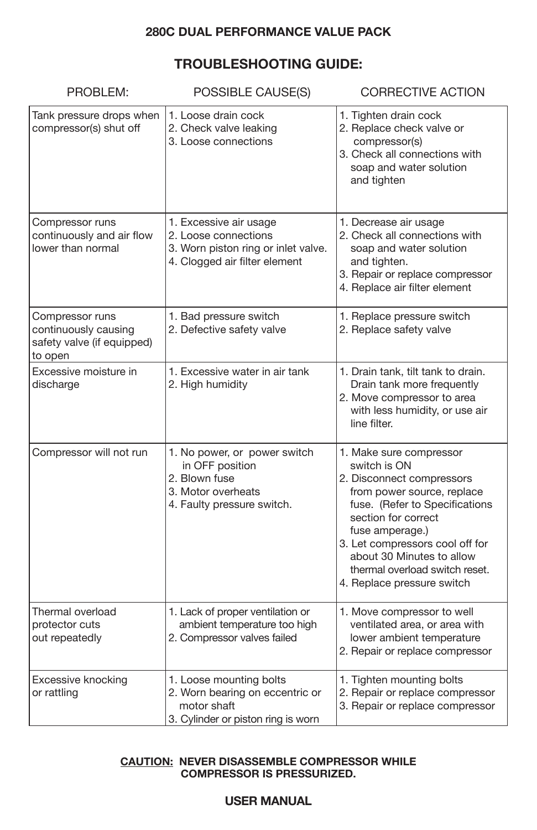## **TROUBLESHOOTING GUIDE:**

| PROBLEM:                                                                         | POSSIBLE CAUSE(S)                                                                                                      | <b>CORRECTIVE ACTION</b>                                                                                                                                                                                                                                                                                       |
|----------------------------------------------------------------------------------|------------------------------------------------------------------------------------------------------------------------|----------------------------------------------------------------------------------------------------------------------------------------------------------------------------------------------------------------------------------------------------------------------------------------------------------------|
| Tank pressure drops when<br>compressor(s) shut off                               | 1. Loose drain cock<br>2. Check valve leaking<br>3. Loose connections                                                  | 1. Tighten drain cock<br>2. Replace check valve or<br>compressor(s)<br>3. Check all connections with<br>soap and water solution<br>and tighten                                                                                                                                                                 |
| Compressor runs<br>continuously and air flow<br>lower than normal                | 1. Excessive air usage<br>2. Loose connections<br>3. Worn piston ring or inlet valve.<br>4. Clogged air filter element | 1. Decrease air usage<br>2. Check all connections with<br>soap and water solution<br>and tighten.<br>3. Repair or replace compressor<br>4. Replace air filter element                                                                                                                                          |
| Compressor runs<br>continuously causing<br>safety valve (if equipped)<br>to open | 1. Bad pressure switch<br>2. Defective safety valve                                                                    | 1. Replace pressure switch<br>2. Replace safety valve                                                                                                                                                                                                                                                          |
| Excessive moisture in<br>discharge                                               | 1. Excessive water in air tank<br>2. High humidity                                                                     | 1. Drain tank, tilt tank to drain.<br>Drain tank more frequently<br>2. Move compressor to area<br>with less humidity, or use air<br>line filter.                                                                                                                                                               |
| Compressor will not run                                                          | 1. No power, or power switch<br>in OFF position<br>2. Blown fuse<br>3. Motor overheats<br>4. Faulty pressure switch.   | 1. Make sure compressor<br>switch is ON<br>2. Disconnect compressors<br>from power source, replace<br>fuse. (Refer to Specifications<br>section for correct<br>fuse amperage.)<br>3. Let compressors cool off for<br>about 30 Minutes to allow<br>thermal overload switch reset.<br>4. Replace pressure switch |
| Thermal overload<br>protector cuts<br>out repeatedly                             | 1. Lack of proper ventilation or<br>ambient temperature too high<br>2. Compressor valves failed                        | 1. Move compressor to well<br>ventilated area, or area with<br>lower ambient temperature<br>2. Repair or replace compressor                                                                                                                                                                                    |
| Excessive knocking<br>or rattling                                                | 1. Loose mounting bolts<br>2. Worn bearing on eccentric or<br>motor shaft<br>3. Cylinder or piston ring is worn        | 1. Tighten mounting bolts<br>2. Repair or replace compressor<br>3. Repair or replace compressor                                                                                                                                                                                                                |

#### **CAUTION: NEVER DISASSEMBLE COMPRESSOR WHILE COMPRESSOR IS PRESSURIZED.**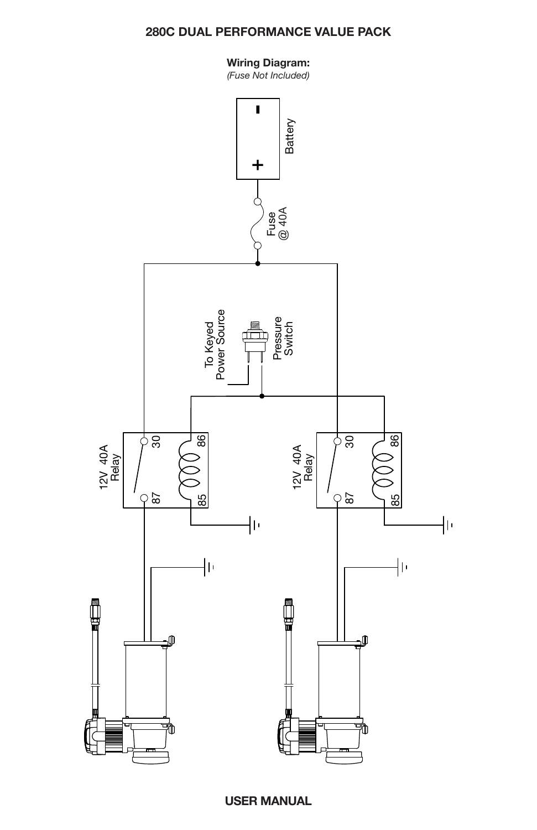#### **Wiring Diagram:**

*(Fuse Not Included)*